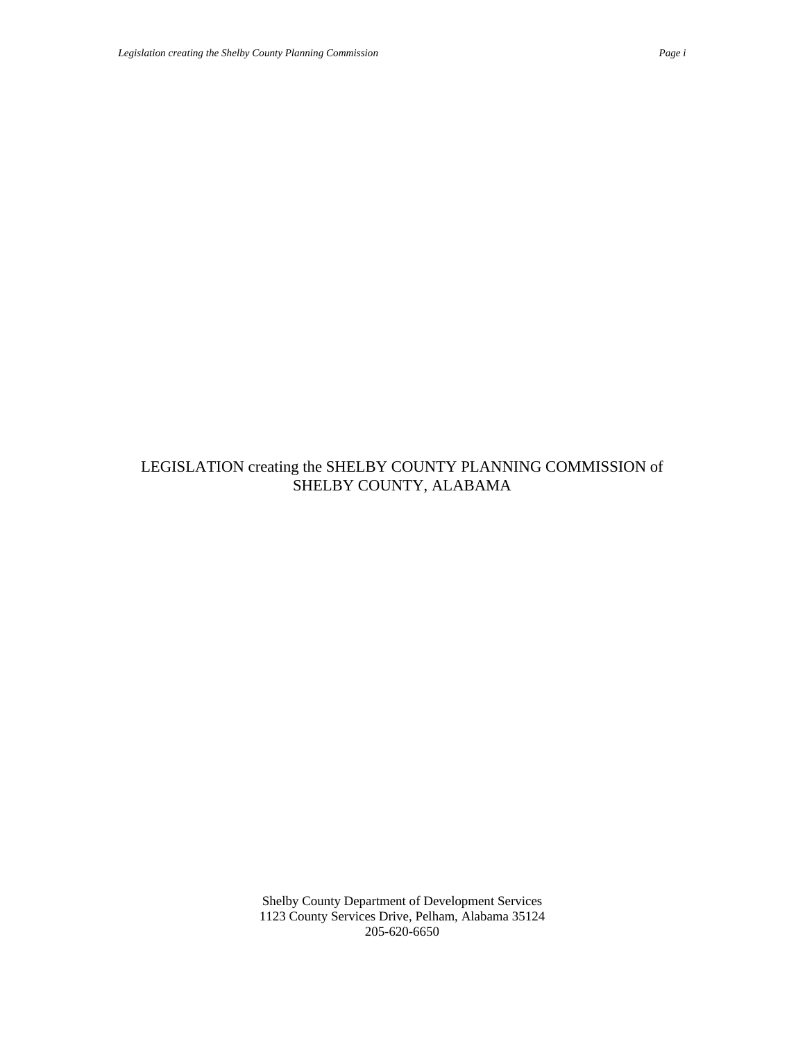# LEGISLATION creating the SHELBY COUNTY PLANNING COMMISSION of SHELBY COUNTY, ALABAMA

Shelby County Department of Development Services 1123 County Services Drive, Pelham, Alabama 35124 205-620-6650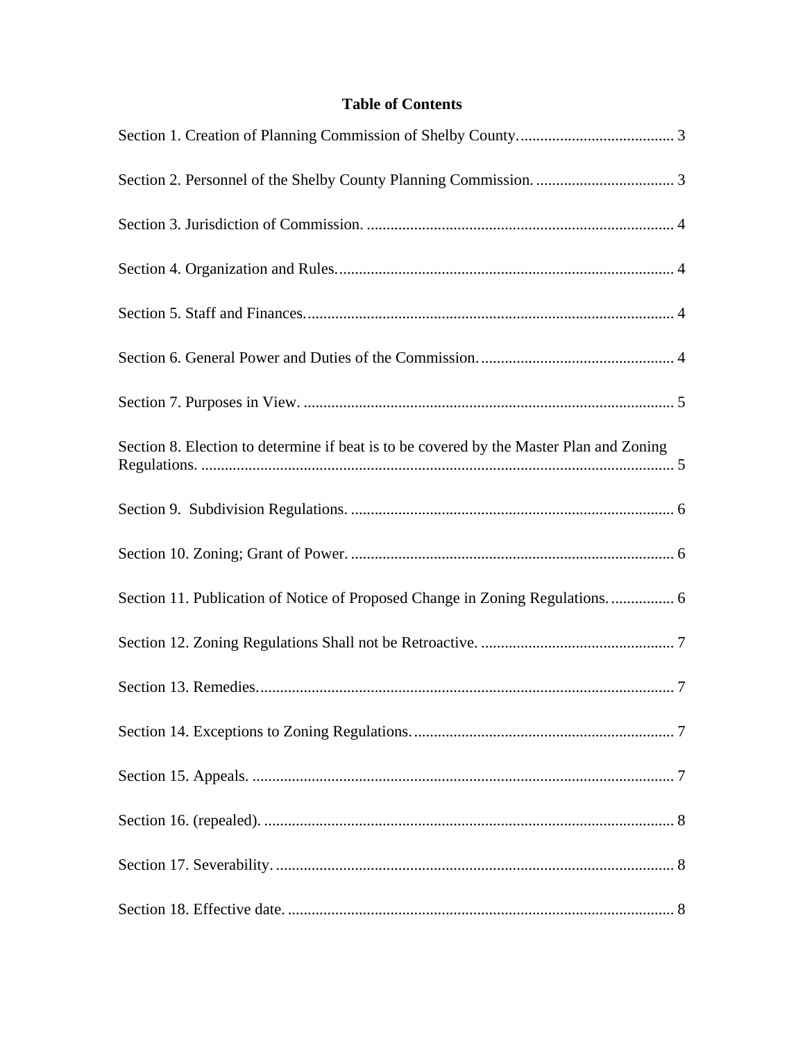# **Table of Contents**

| Section 8. Election to determine if beat is to be covered by the Master Plan and Zoning |
|-----------------------------------------------------------------------------------------|
|                                                                                         |
|                                                                                         |
| Section 11. Publication of Notice of Proposed Change in Zoning Regulations.  6          |
|                                                                                         |
|                                                                                         |
|                                                                                         |
|                                                                                         |
|                                                                                         |
|                                                                                         |
|                                                                                         |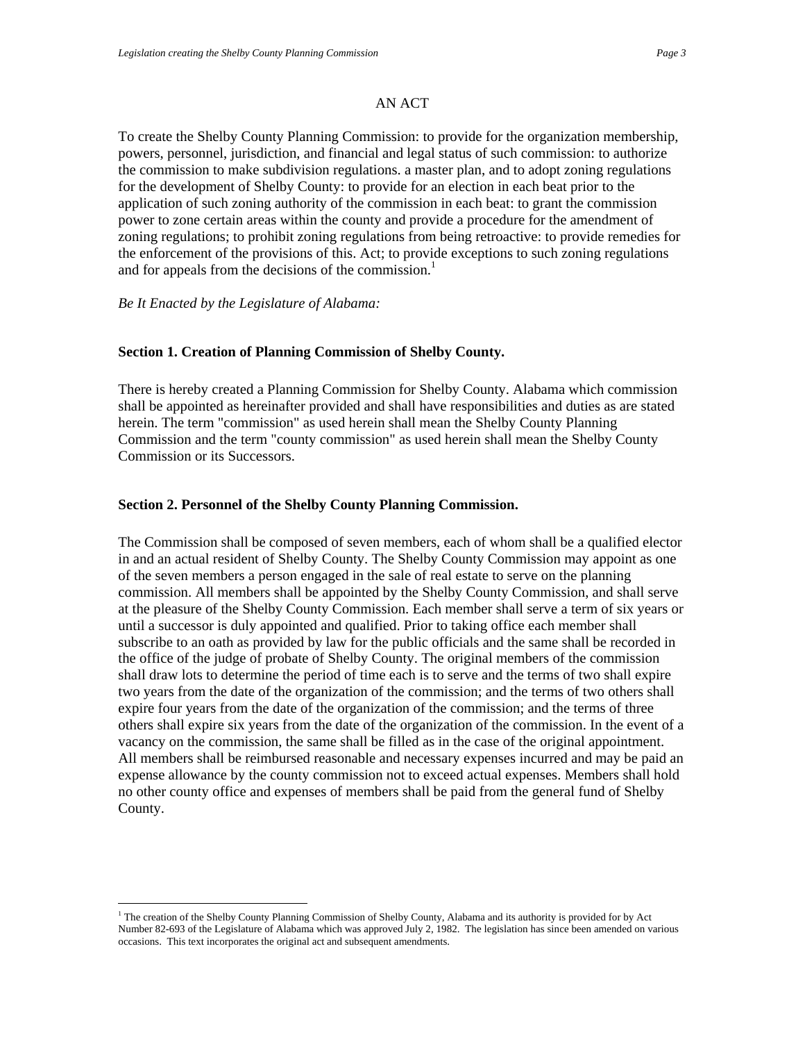### AN ACT

<span id="page-2-0"></span>To create the Shelby County Planning Commission: to provide for the organization membership, powers, personnel, jurisdiction, and financial and legal status of such commission: to authorize the commission to make subdivision regulations. a master plan, and to adopt zoning regulations for the development of Shelby County: to provide for an election in each beat prior to the application of such zoning authority of the commission in each beat: to grant the commission power to zone certain areas within the county and provide a procedure for the amendment of zoning regulations; to prohibit zoning regulations from being retroactive: to provide remedies for the enforcement of the provisions of this. Act; to provide exceptions to such zoning regulations and for appeals from the decisions of the commission.<sup>1</sup>

*Be It Enacted by the Legislature of Alabama:* 

 $\overline{a}$ 

### **Section 1. Creation of Planning Commission of Shelby County.**

There is hereby created a Planning Commission for Shelby County. Alabama which commission shall be appointed as hereinafter provided and shall have responsibilities and duties as are stated herein. The term "commission" as used herein shall mean the Shelby County Planning Commission and the term "county commission" as used herein shall mean the Shelby County Commission or its Successors.

#### **Section 2. Personnel of the Shelby County Planning Commission.**

The Commission shall be composed of seven members, each of whom shall be a qualified elector in and an actual resident of Shelby County. The Shelby County Commission may appoint as one of the seven members a person engaged in the sale of real estate to serve on the planning commission. All members shall be appointed by the Shelby County Commission, and shall serve at the pleasure of the Shelby County Commission. Each member shall serve a term of six years or until a successor is duly appointed and qualified. Prior to taking office each member shall subscribe to an oath as provided by law for the public officials and the same shall be recorded in the office of the judge of probate of Shelby County. The original members of the commission shall draw lots to determine the period of time each is to serve and the terms of two shall expire two years from the date of the organization of the commission; and the terms of two others shall expire four years from the date of the organization of the commission; and the terms of three others shall expire six years from the date of the organization of the commission. In the event of a vacancy on the commission, the same shall be filled as in the case of the original appointment. All members shall be reimbursed reasonable and necessary expenses incurred and may be paid an expense allowance by the county commission not to exceed actual expenses. Members shall hold no other county office and expenses of members shall be paid from the general fund of Shelby County.

<span id="page-2-1"></span><sup>&</sup>lt;sup>1</sup> The creation of the Shelby County Planning Commission of Shelby County, Alabama and its authority is provided for by Act Number 82-693 of the Legislature of Alabama which was approved July 2, 1982. The legislation has since been amended on various occasions. This text incorporates the original act and subsequent amendments.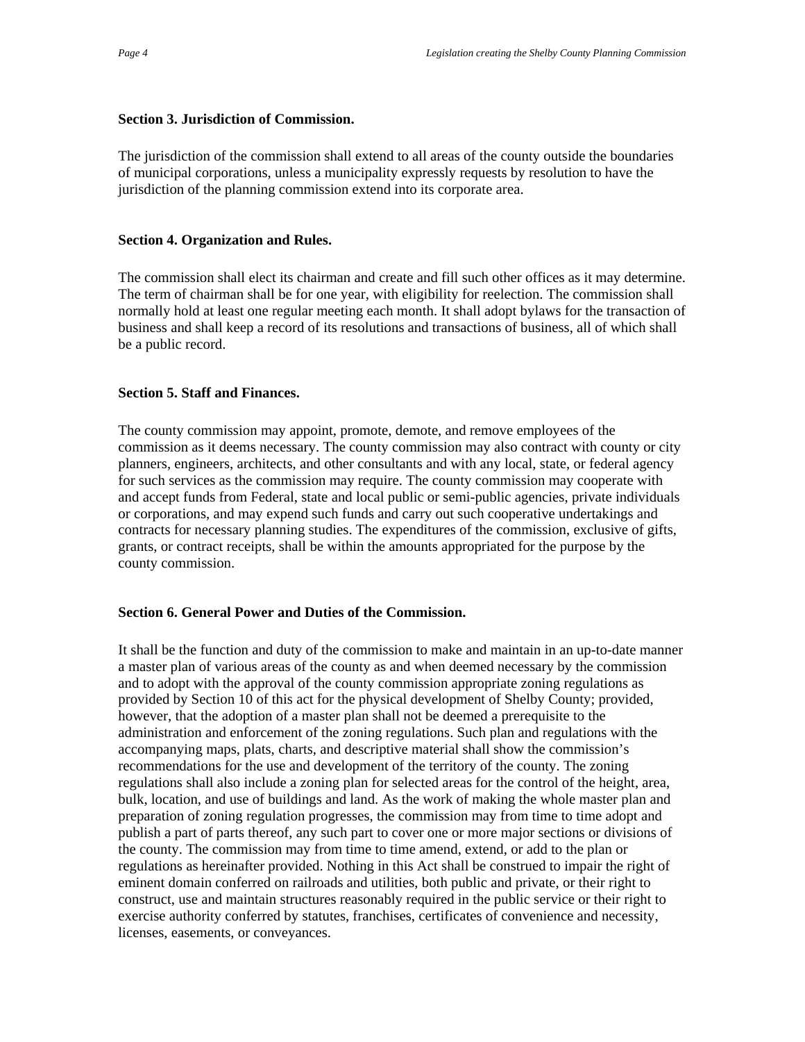## <span id="page-3-0"></span>**Section 3. Jurisdiction of Commission.**

The jurisdiction of the commission shall extend to all areas of the county outside the boundaries of municipal corporations, unless a municipality expressly requests by resolution to have the jurisdiction of the planning commission extend into its corporate area.

# **Section 4. Organization and Rules.**

The commission shall elect its chairman and create and fill such other offices as it may determine. The term of chairman shall be for one year, with eligibility for reelection. The commission shall normally hold at least one regular meeting each month. It shall adopt bylaws for the transaction of business and shall keep a record of its resolutions and transactions of business, all of which shall be a public record.

## **Section 5. Staff and Finances.**

The county commission may appoint, promote, demote, and remove employees of the commission as it deems necessary. The county commission may also contract with county or city planners, engineers, architects, and other consultants and with any local, state, or federal agency for such services as the commission may require. The county commission may cooperate with and accept funds from Federal, state and local public or semi-public agencies, private individuals or corporations, and may expend such funds and carry out such cooperative undertakings and contracts for necessary planning studies. The expenditures of the commission, exclusive of gifts, grants, or contract receipts, shall be within the amounts appropriated for the purpose by the county commission.

## **Section 6. General Power and Duties of the Commission.**

It shall be the function and duty of the commission to make and maintain in an up-to-date manner a master plan of various areas of the county as and when deemed necessary by the commission and to adopt with the approval of the county commission appropriate zoning regulations as provided by Section 10 of this act for the physical development of Shelby County; provided, however, that the adoption of a master plan shall not be deemed a prerequisite to the administration and enforcement of the zoning regulations. Such plan and regulations with the accompanying maps, plats, charts, and descriptive material shall show the commission's recommendations for the use and development of the territory of the county. The zoning regulations shall also include a zoning plan for selected areas for the control of the height, area, bulk, location, and use of buildings and land. As the work of making the whole master plan and preparation of zoning regulation progresses, the commission may from time to time adopt and publish a part of parts thereof, any such part to cover one or more major sections or divisions of the county. The commission may from time to time amend, extend, or add to the plan or regulations as hereinafter provided. Nothing in this Act shall be construed to impair the right of eminent domain conferred on railroads and utilities, both public and private, or their right to construct, use and maintain structures reasonably required in the public service or their right to exercise authority conferred by statutes, franchises, certificates of convenience and necessity, licenses, easements, or conveyances.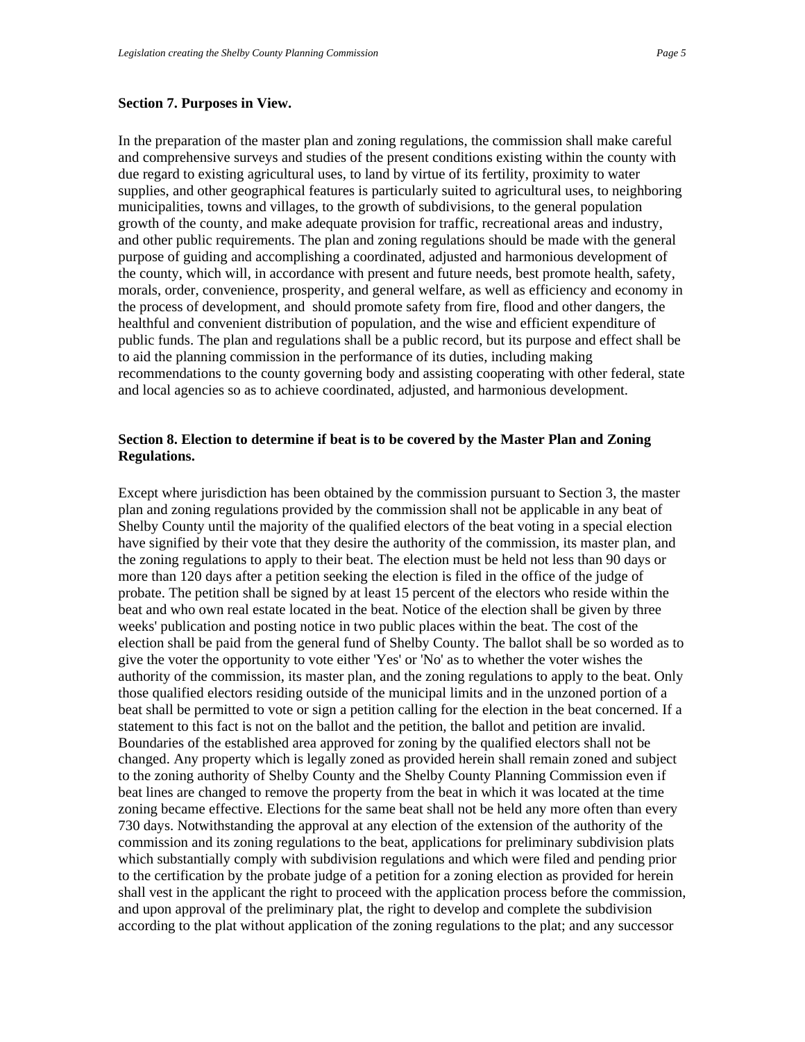### <span id="page-4-0"></span>**Section 7. Purposes in View.**

In the preparation of the master plan and zoning regulations, the commission shall make careful and comprehensive surveys and studies of the present conditions existing within the county with due regard to existing agricultural uses, to land by virtue of its fertility, proximity to water supplies, and other geographical features is particularly suited to agricultural uses, to neighboring municipalities, towns and villages, to the growth of subdivisions, to the general population growth of the county, and make adequate provision for traffic, recreational areas and industry, and other public requirements. The plan and zoning regulations should be made with the general purpose of guiding and accomplishing a coordinated, adjusted and harmonious development of the county, which will, in accordance with present and future needs, best promote health, safety, morals, order, convenience, prosperity, and general welfare, as well as efficiency and economy in the process of development, and should promote safety from fire, flood and other dangers, the healthful and convenient distribution of population, and the wise and efficient expenditure of public funds. The plan and regulations shall be a public record, but its purpose and effect shall be to aid the planning commission in the performance of its duties, including making recommendations to the county governing body and assisting cooperating with other federal, state and local agencies so as to achieve coordinated, adjusted, and harmonious development.

# **Section 8. Election to determine if beat is to be covered by the Master Plan and Zoning Regulations.**

Except where jurisdiction has been obtained by the commission pursuant to Section 3, the master plan and zoning regulations provided by the commission shall not be applicable in any beat of Shelby County until the majority of the qualified electors of the beat voting in a special election have signified by their vote that they desire the authority of the commission, its master plan, and the zoning regulations to apply to their beat. The election must be held not less than 90 days or more than 120 days after a petition seeking the election is filed in the office of the judge of probate. The petition shall be signed by at least 15 percent of the electors who reside within the beat and who own real estate located in the beat. Notice of the election shall be given by three weeks' publication and posting notice in two public places within the beat. The cost of the election shall be paid from the general fund of Shelby County. The ballot shall be so worded as to give the voter the opportunity to vote either 'Yes' or 'No' as to whether the voter wishes the authority of the commission, its master plan, and the zoning regulations to apply to the beat. Only those qualified electors residing outside of the municipal limits and in the unzoned portion of a beat shall be permitted to vote or sign a petition calling for the election in the beat concerned. If a statement to this fact is not on the ballot and the petition, the ballot and petition are invalid. Boundaries of the established area approved for zoning by the qualified electors shall not be changed. Any property which is legally zoned as provided herein shall remain zoned and subject to the zoning authority of Shelby County and the Shelby County Planning Commission even if beat lines are changed to remove the property from the beat in which it was located at the time zoning became effective. Elections for the same beat shall not be held any more often than every 730 days. Notwithstanding the approval at any election of the extension of the authority of the commission and its zoning regulations to the beat, applications for preliminary subdivision plats which substantially comply with subdivision regulations and which were filed and pending prior to the certification by the probate judge of a petition for a zoning election as provided for herein shall vest in the applicant the right to proceed with the application process before the commission, and upon approval of the preliminary plat, the right to develop and complete the subdivision according to the plat without application of the zoning regulations to the plat; and any successor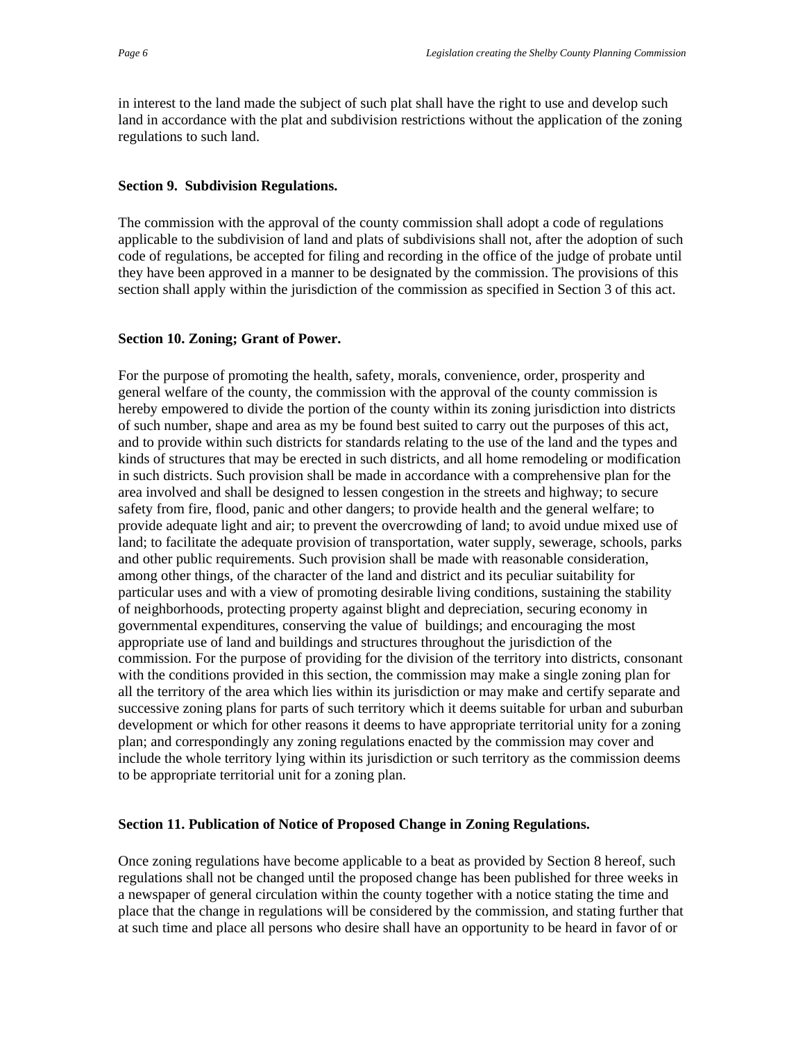<span id="page-5-0"></span>in interest to the land made the subject of such plat shall have the right to use and develop such land in accordance with the plat and subdivision restrictions without the application of the zoning regulations to such land.

## **Section 9. Subdivision Regulations.**

The commission with the approval of the county commission shall adopt a code of regulations applicable to the subdivision of land and plats of subdivisions shall not, after the adoption of such code of regulations, be accepted for filing and recording in the office of the judge of probate until they have been approved in a manner to be designated by the commission. The provisions of this section shall apply within the jurisdiction of the commission as specified in Section 3 of this act.

## **Section 10. Zoning; Grant of Power.**

For the purpose of promoting the health, safety, morals, convenience, order, prosperity and general welfare of the county, the commission with the approval of the county commission is hereby empowered to divide the portion of the county within its zoning jurisdiction into districts of such number, shape and area as my be found best suited to carry out the purposes of this act, and to provide within such districts for standards relating to the use of the land and the types and kinds of structures that may be erected in such districts, and all home remodeling or modification in such districts. Such provision shall be made in accordance with a comprehensive plan for the area involved and shall be designed to lessen congestion in the streets and highway; to secure safety from fire, flood, panic and other dangers; to provide health and the general welfare; to provide adequate light and air; to prevent the overcrowding of land; to avoid undue mixed use of land; to facilitate the adequate provision of transportation, water supply, sewerage, schools, parks and other public requirements. Such provision shall be made with reasonable consideration, among other things, of the character of the land and district and its peculiar suitability for particular uses and with a view of promoting desirable living conditions, sustaining the stability of neighborhoods, protecting property against blight and depreciation, securing economy in governmental expenditures, conserving the value of buildings; and encouraging the most appropriate use of land and buildings and structures throughout the jurisdiction of the commission. For the purpose of providing for the division of the territory into districts, consonant with the conditions provided in this section, the commission may make a single zoning plan for all the territory of the area which lies within its jurisdiction or may make and certify separate and successive zoning plans for parts of such territory which it deems suitable for urban and suburban development or which for other reasons it deems to have appropriate territorial unity for a zoning plan; and correspondingly any zoning regulations enacted by the commission may cover and include the whole territory lying within its jurisdiction or such territory as the commission deems to be appropriate territorial unit for a zoning plan.

# **Section 11. Publication of Notice of Proposed Change in Zoning Regulations.**

Once zoning regulations have become applicable to a beat as provided by Section 8 hereof, such regulations shall not be changed until the proposed change has been published for three weeks in a newspaper of general circulation within the county together with a notice stating the time and place that the change in regulations will be considered by the commission, and stating further that at such time and place all persons who desire shall have an opportunity to be heard in favor of or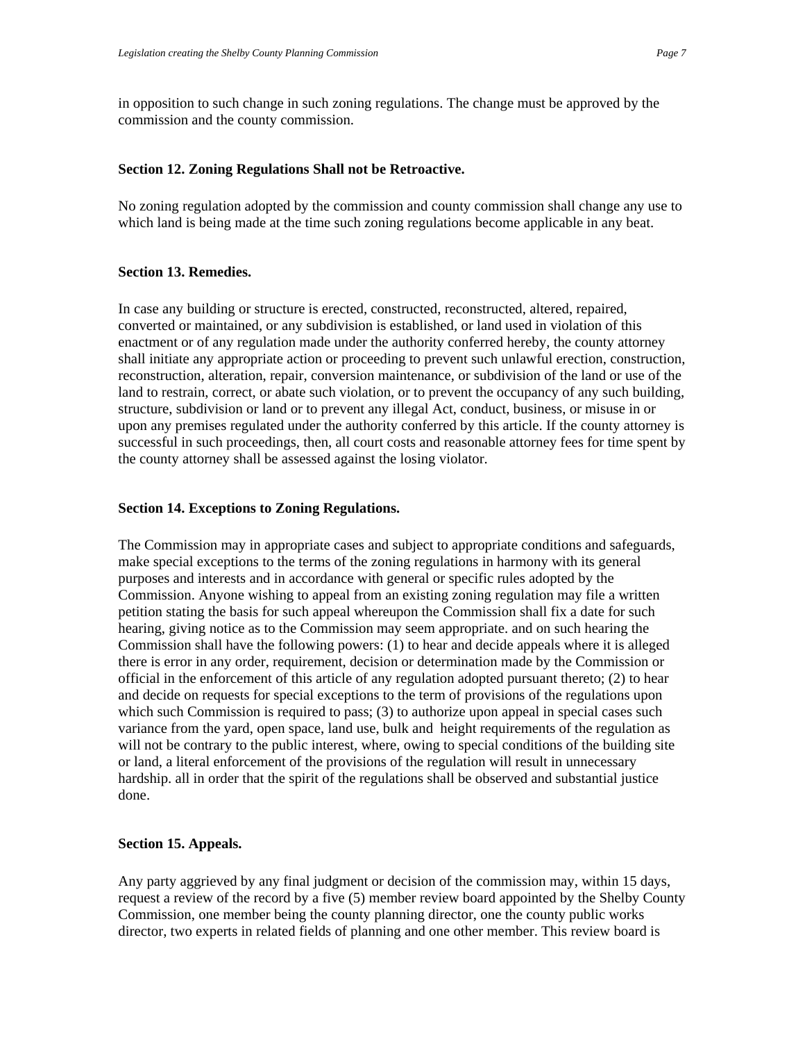<span id="page-6-0"></span>in opposition to such change in such zoning regulations. The change must be approved by the commission and the county commission.

### **Section 12. Zoning Regulations Shall not be Retroactive.**

No zoning regulation adopted by the commission and county commission shall change any use to which land is being made at the time such zoning regulations become applicable in any beat.

#### **Section 13. Remedies.**

In case any building or structure is erected, constructed, reconstructed, altered, repaired, converted or maintained, or any subdivision is established, or land used in violation of this enactment or of any regulation made under the authority conferred hereby, the county attorney shall initiate any appropriate action or proceeding to prevent such unlawful erection, construction, reconstruction, alteration, repair, conversion maintenance, or subdivision of the land or use of the land to restrain, correct, or abate such violation, or to prevent the occupancy of any such building, structure, subdivision or land or to prevent any illegal Act, conduct, business, or misuse in or upon any premises regulated under the authority conferred by this article. If the county attorney is successful in such proceedings, then, all court costs and reasonable attorney fees for time spent by the county attorney shall be assessed against the losing violator.

#### **Section 14. Exceptions to Zoning Regulations.**

The Commission may in appropriate cases and subject to appropriate conditions and safeguards, make special exceptions to the terms of the zoning regulations in harmony with its general purposes and interests and in accordance with general or specific rules adopted by the Commission. Anyone wishing to appeal from an existing zoning regulation may file a written petition stating the basis for such appeal whereupon the Commission shall fix a date for such hearing, giving notice as to the Commission may seem appropriate. and on such hearing the Commission shall have the following powers: (1) to hear and decide appeals where it is alleged there is error in any order, requirement, decision or determination made by the Commission or official in the enforcement of this article of any regulation adopted pursuant thereto; (2) to hear and decide on requests for special exceptions to the term of provisions of the regulations upon which such Commission is required to pass; (3) to authorize upon appeal in special cases such variance from the yard, open space, land use, bulk and height requirements of the regulation as will not be contrary to the public interest, where, owing to special conditions of the building site or land, a literal enforcement of the provisions of the regulation will result in unnecessary hardship. all in order that the spirit of the regulations shall be observed and substantial justice done.

#### **Section 15. Appeals.**

Any party aggrieved by any final judgment or decision of the commission may, within 15 days, request a review of the record by a five (5) member review board appointed by the Shelby County Commission, one member being the county planning director, one the county public works director, two experts in related fields of planning and one other member. This review board is